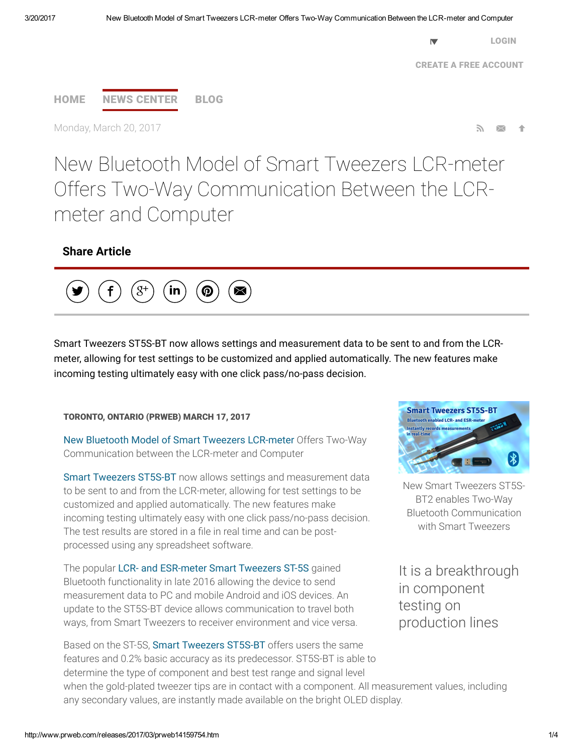[LOGIN](https://app.prweb.com/Login.aspx) United States

CREATE A FREE [ACCOUNT](https://app.prweb.com/prweb/register.aspx)



Monday, March 20, 2017  $\blacksquare$ 

New Bluetooth Model of Smart Tweezers LCR-meter Offers Two-Way Communication Between the LCRmeter and Computer

# Share Article



Smart Tweezers ST5S-BT now allows settings and measurement data to be sent to and from the LCRmeter, allowing for test settings to be customized and applied automatically. The new features make incoming testing ultimately easy with one click pass/no-pass decision.

#### TORONTO, ONTARIO (PRWEB) MARCH 17, 2017

New Bluetooth Model of Smart Tweezers [LCR-meter](http://www.smarttweezers.us/bluetooth.html) Offers Two-Way Communication between the LCR-meter and Computer

Smart [Tweezers](http://www.lcr-reader.com/) ST5S-BT now allows settings and measurement data to be sent to and from the LCR-meter, allowing for test settings to be customized and applied automatically. The new features make incoming testing ultimately easy with one click pass/no-pass decision. The test results are stored in a file in real time and can be postprocessed using any spreadsheet software.

The popular LCR- and [ESR-meter](http://www.smarttweezers.ca/) Smart Tweezers ST-5S gained Bluetooth functionality in late 2016 allowing the device to send measurement data to PC and mobile Android and iOS devices. An update to the ST5S-BT device allows communication to travel both ways, from Smart Tweezers to receiver environment and vice versa.

Based on the ST-5S, Smart [Tweezers](http://www.smarttweezers.cn/) ST5S-BT offers users the same



New Smart Tweezers ST5S-BT2 enables Two-Way Bluetooth Communication with Smart Tweezers

It is a breakthrough in component testing on production lines

features and 0.2% basic accuracy as its predecessor. ST5S-BT is able to determine the type of component and best test range and signal level when the gold-plated tweezer tips are in contact with a component. All measurement values, including any secondary values, are instantly made available on the bright OLED display.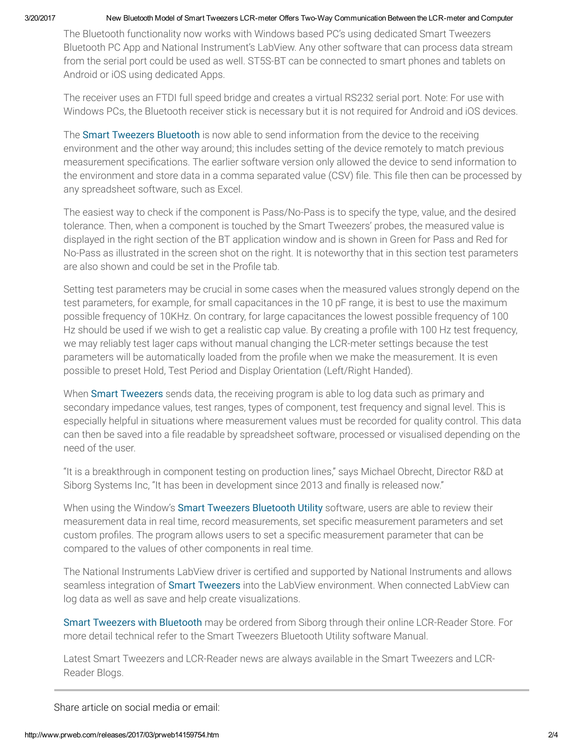#### 3/20/2017 New Bluetooth Model of Smart Tweezers LCR-meter Offers Two-Way Communication Between the LCR-meter and Computer

The Bluetooth functionality now works with Windows based PC's using dedicated Smart Tweezers Bluetooth PC App and National Instrument's LabView. Any other software that can process data stream from the serial port could be used as well. ST5S-BT can be connected to smart phones and tablets on Android or iOS using dedicated Apps.

The receiver uses an FTDI full speed bridge and creates a virtual RS232 serial port. Note: For use with Windows PCs, the Bluetooth receiver stick is necessary but it is not required for Android and iOS devices.

The Smart Tweezers [Bluetooth](http://www.smarttweezers.by/) is now able to send information from the device to the receiving environment and the other way around; this includes setting of the device remotely to match previous measurement specifications. The earlier software version only allowed the device to send information to the environment and store data in a comma separated value (CSV) file. This file then can be processed by any spreadsheet software, such as Excel.

The easiest way to check if the component is Pass/No-Pass is to specify the type, value, and the desired tolerance. Then, when a component is touched by the Smart Tweezers' probes, the measured value is displayed in the right section of the BT application window and is shown in Green for Pass and Red for No-Pass as illustrated in the screen shot on the right. It is noteworthy that in this section test parameters are also shown and could be set in the Profile tab.

Setting test parameters may be crucial in some cases when the measured values strongly depend on the test parameters, for example, for small capacitances in the 10 pF range, it is best to use the maximum possible frequency of 10KHz. On contrary, for large capacitances the lowest possible frequency of 100 Hz should be used if we wish to get a realistic cap value. By creating a profile with 100 Hz test frequency, we may reliably test lager caps without manual changing the LCR-meter settings because the test parameters will be automatically loaded from the profile when we make the measurement. It is even possible to preset Hold, Test Period and Display Orientation (Left/Right Handed).

When Smart [Tweezers](http://www.smarttweezers.in/) sends data, the receiving program is able to log data such as primary and secondary impedance values, test ranges, types of component, test frequency and signal level. This is especially helpful in situations where measurement values must be recorded for quality control. This data can then be saved into a file readable by spreadsheet software, processed or visualised depending on the need of the user.

"It is a breakthrough in component testing on production lines," says Michael Obrecht, Director R&D at Siborg Systems Inc, "It has been in development since 2013 and finally is released now."

When using the Window's Smart Tweezers [Bluetooth](http://www.siborg.com/smarttweezers) Utility software, users are able to review their measurement data in real time, record measurements, set specific measurement parameters and set custom profiles. The program allows users to set a specific measurement parameter that can be compared to the values of other components in real time.

The National Instruments LabView driver is certified and supported by National Instruments and allows seamless integration of Smart [Tweezers](http://www.smarttweezers.info/) into the LabView environment. When connected LabView can log data as well as save and help create visualizations.

Smart [Tweezers](http://www.smarttweezers.org/) with Bluetooth may be ordered from Siborg through their online LCR-Reader Store. For more detail technical refer to the Smart Tweezers Bluetooth Utility software Manual.

Latest Smart Tweezers and LCR-Reader news are always available in the Smart Tweezers and LCR-Reader Blogs.

Share article on social media or email: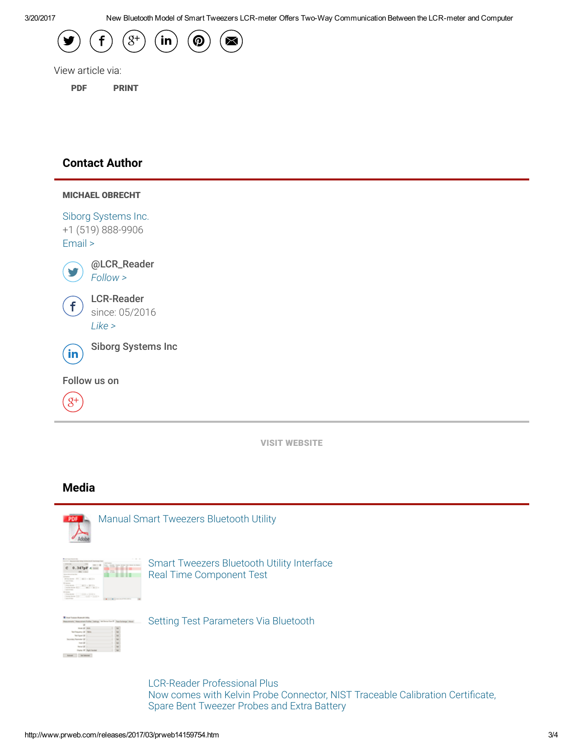

View article via:

[PDF](http://www.prweb.com/pdfdownload/14159754.pdf) [PRINT](http://www.prweb.com/printer/14159754.htm)

### Contact Author

| <b>MICHAEL OBRECHT</b>     |                                             |  |
|----------------------------|---------------------------------------------|--|
| Email >                    | Siborg Systems Inc.<br>+1 (519) 888-9906    |  |
|                            | @LCR_Reader<br>Follow >                     |  |
| $\mathbf{f}$               | <b>LCR-Reader</b><br>since: 05/2016<br>Like |  |
| $\left(\mathsf{in}\right)$ | <b>Siborg Systems Inc</b>                   |  |
| $8^+$                      | Follow us on                                |  |

VISIT [WEBSITE](http://www.lcr-reader.com/)

# Media



Manual Smart Tweezers [Bluetooth](http://ww1.prweb.com/prfiles/2017/03/16/14159754/SmartTweezersBluetoothUtility.pdf) Utility

|                                                                                                                          | $\rightarrow$<br>$\sim$            |
|--------------------------------------------------------------------------------------------------------------------------|------------------------------------|
| $C = 0.347pF$ $\kappa$<br><b>STATE</b><br>-<br><b>CALL 1</b><br><b>BUILT BUILT</b><br>THE R. P. LEWIS CO., LANSING MICH. | <b>STATE</b><br>۰<br>۰<br>-<br>. . |
| <b>STATE</b><br><br><b>Service</b>                                                                                       |                                    |

Smart Tweezers Bluetooth Utility Interface Real Time [Component](http://ww1.prweb.com/prfiles/2017/03/16/14159754/redandgreen.jpg) Test



Setting Test [Parameters](http://ww1.prweb.com/prfiles/2017/03/16/14159754/set_over_bt.jpg) Via Bluetooth

LCR-Reader [Professional](http://ww1.prweb.com/prfiles/2016/11/11/14159754/lcrreaderproplus.jpg) Plus Now comes with Kelvin Probe Connector, NIST Traceable Calibration Certificate, Spare Bent Tweezer Probes and Extra Battery